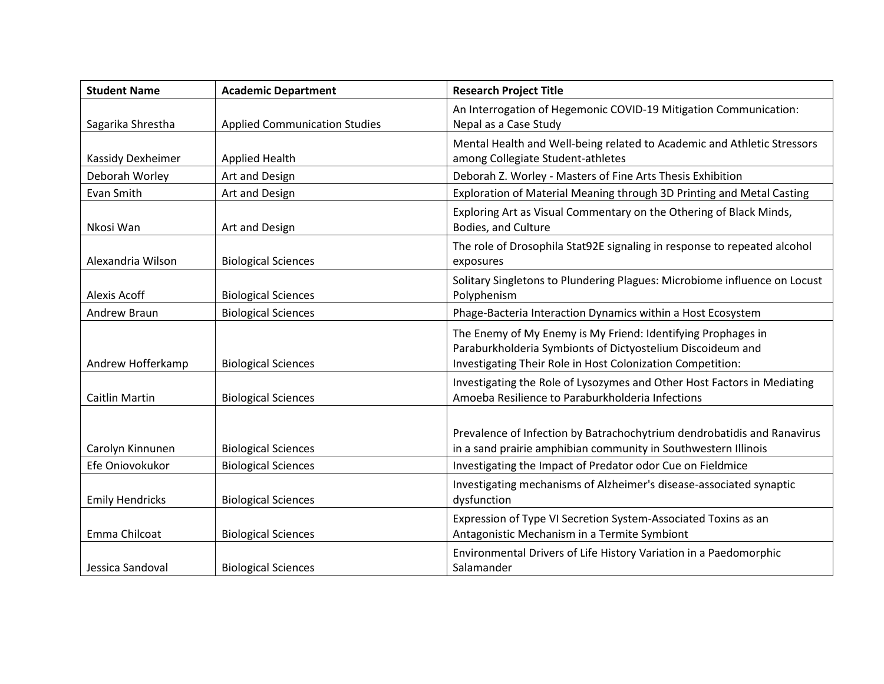| <b>Student Name</b>    | <b>Academic Department</b>           | <b>Research Project Title</b>                                                                                                                                                            |
|------------------------|--------------------------------------|------------------------------------------------------------------------------------------------------------------------------------------------------------------------------------------|
| Sagarika Shrestha      | <b>Applied Communication Studies</b> | An Interrogation of Hegemonic COVID-19 Mitigation Communication:<br>Nepal as a Case Study                                                                                                |
| Kassidy Dexheimer      | <b>Applied Health</b>                | Mental Health and Well-being related to Academic and Athletic Stressors<br>among Collegiate Student-athletes                                                                             |
| Deborah Worley         | Art and Design                       | Deborah Z. Worley - Masters of Fine Arts Thesis Exhibition                                                                                                                               |
| Evan Smith             | Art and Design                       | Exploration of Material Meaning through 3D Printing and Metal Casting                                                                                                                    |
| Nkosi Wan              | Art and Design                       | Exploring Art as Visual Commentary on the Othering of Black Minds,<br>Bodies, and Culture                                                                                                |
| Alexandria Wilson      | <b>Biological Sciences</b>           | The role of Drosophila Stat92E signaling in response to repeated alcohol<br>exposures                                                                                                    |
| Alexis Acoff           | <b>Biological Sciences</b>           | Solitary Singletons to Plundering Plagues: Microbiome influence on Locust<br>Polyphenism                                                                                                 |
| Andrew Braun           | <b>Biological Sciences</b>           | Phage-Bacteria Interaction Dynamics within a Host Ecosystem                                                                                                                              |
| Andrew Hofferkamp      | <b>Biological Sciences</b>           | The Enemy of My Enemy is My Friend: Identifying Prophages in<br>Paraburkholderia Symbionts of Dictyostelium Discoideum and<br>Investigating Their Role in Host Colonization Competition: |
| <b>Caitlin Martin</b>  | <b>Biological Sciences</b>           | Investigating the Role of Lysozymes and Other Host Factors in Mediating<br>Amoeba Resilience to Paraburkholderia Infections                                                              |
| Carolyn Kinnunen       | <b>Biological Sciences</b>           | Prevalence of Infection by Batrachochytrium dendrobatidis and Ranavirus<br>in a sand prairie amphibian community in Southwestern Illinois                                                |
| Efe Oniovokukor        | <b>Biological Sciences</b>           | Investigating the Impact of Predator odor Cue on Fieldmice                                                                                                                               |
| <b>Emily Hendricks</b> | <b>Biological Sciences</b>           | Investigating mechanisms of Alzheimer's disease-associated synaptic<br>dysfunction                                                                                                       |
| Emma Chilcoat          | <b>Biological Sciences</b>           | Expression of Type VI Secretion System-Associated Toxins as an<br>Antagonistic Mechanism in a Termite Symbiont                                                                           |
| Jessica Sandoval       | <b>Biological Sciences</b>           | Environmental Drivers of Life History Variation in a Paedomorphic<br>Salamander                                                                                                          |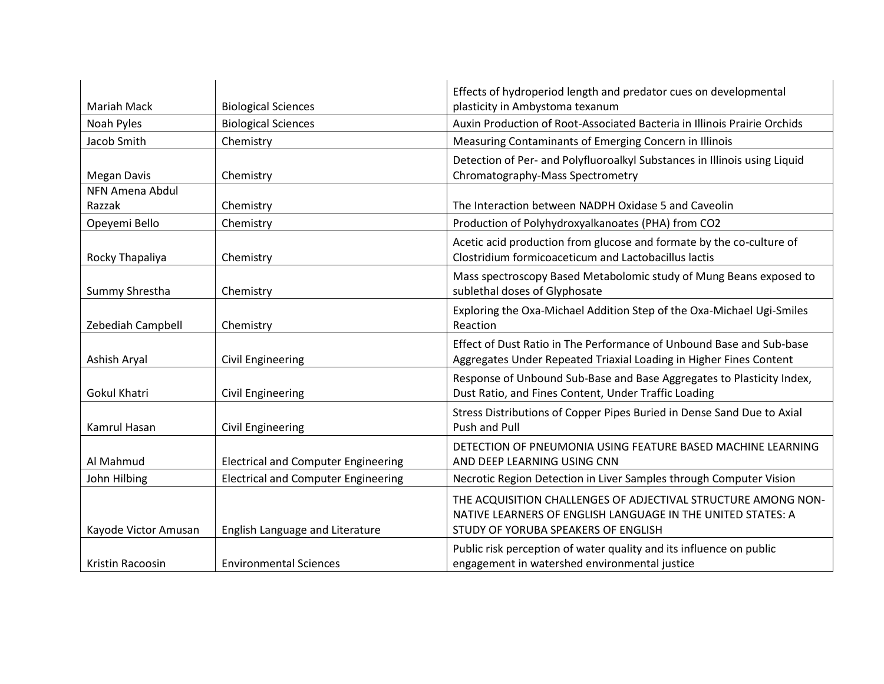| Mariah Mack          | <b>Biological Sciences</b>                 | Effects of hydroperiod length and predator cues on developmental<br>plasticity in Ambystoma texanum                                                                 |
|----------------------|--------------------------------------------|---------------------------------------------------------------------------------------------------------------------------------------------------------------------|
| Noah Pyles           | <b>Biological Sciences</b>                 | Auxin Production of Root-Associated Bacteria in Illinois Prairie Orchids                                                                                            |
| Jacob Smith          | Chemistry                                  | Measuring Contaminants of Emerging Concern in Illinois                                                                                                              |
| <b>Megan Davis</b>   | Chemistry                                  | Detection of Per- and Polyfluoroalkyl Substances in Illinois using Liquid<br>Chromatography-Mass Spectrometry                                                       |
| NFN Amena Abdul      |                                            |                                                                                                                                                                     |
| Razzak               | Chemistry                                  | The Interaction between NADPH Oxidase 5 and Caveolin                                                                                                                |
| Opeyemi Bello        | Chemistry                                  | Production of Polyhydroxyalkanoates (PHA) from CO2                                                                                                                  |
| Rocky Thapaliya      | Chemistry                                  | Acetic acid production from glucose and formate by the co-culture of<br>Clostridium formicoaceticum and Lactobacillus lactis                                        |
| Summy Shrestha       | Chemistry                                  | Mass spectroscopy Based Metabolomic study of Mung Beans exposed to<br>sublethal doses of Glyphosate                                                                 |
| Zebediah Campbell    | Chemistry                                  | Exploring the Oxa-Michael Addition Step of the Oxa-Michael Ugi-Smiles<br>Reaction                                                                                   |
| Ashish Aryal         | <b>Civil Engineering</b>                   | Effect of Dust Ratio in The Performance of Unbound Base and Sub-base<br>Aggregates Under Repeated Triaxial Loading in Higher Fines Content                          |
| <b>Gokul Khatri</b>  | Civil Engineering                          | Response of Unbound Sub-Base and Base Aggregates to Plasticity Index,<br>Dust Ratio, and Fines Content, Under Traffic Loading                                       |
| Kamrul Hasan         | <b>Civil Engineering</b>                   | Stress Distributions of Copper Pipes Buried in Dense Sand Due to Axial<br><b>Push and Pull</b>                                                                      |
| Al Mahmud            | <b>Electrical and Computer Engineering</b> | DETECTION OF PNEUMONIA USING FEATURE BASED MACHINE LEARNING<br>AND DEEP LEARNING USING CNN                                                                          |
| John Hilbing         | <b>Electrical and Computer Engineering</b> | Necrotic Region Detection in Liver Samples through Computer Vision                                                                                                  |
| Kayode Victor Amusan | English Language and Literature            | THE ACQUISITION CHALLENGES OF ADJECTIVAL STRUCTURE AMONG NON-<br>NATIVE LEARNERS OF ENGLISH LANGUAGE IN THE UNITED STATES: A<br>STUDY OF YORUBA SPEAKERS OF ENGLISH |
| Kristin Racoosin     | <b>Environmental Sciences</b>              | Public risk perception of water quality and its influence on public<br>engagement in watershed environmental justice                                                |